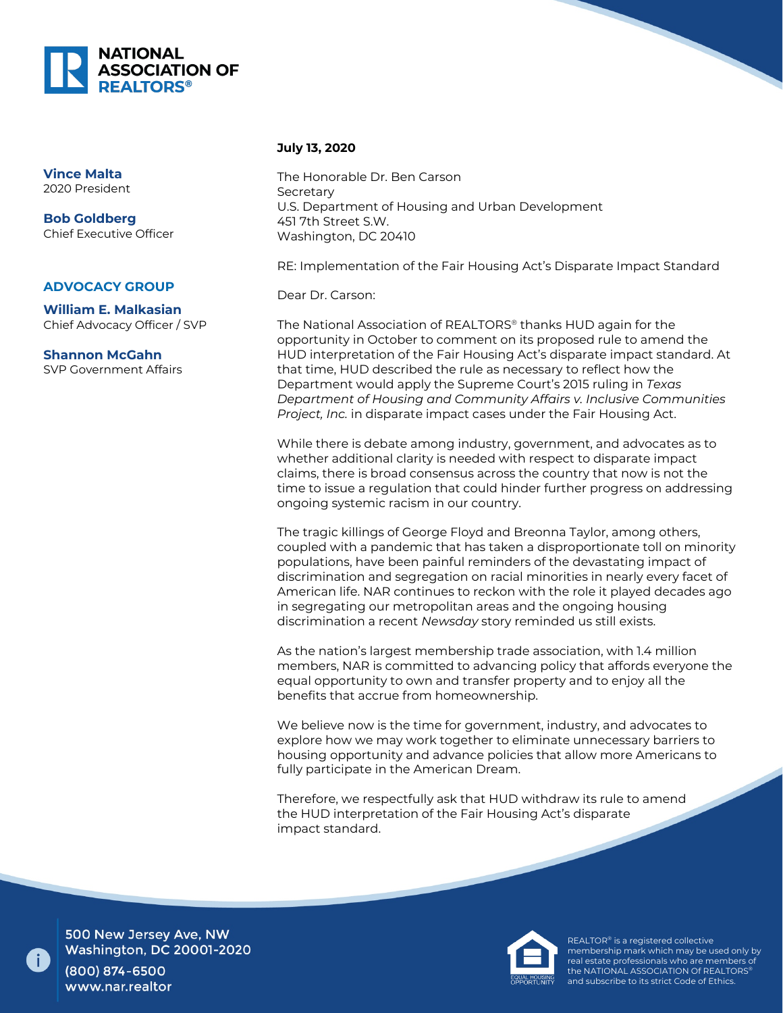

## **Vince Malta** 2020 President

**Bob Goldberg** Chief Executive Officer

## **ADVOCACY GROUP**

**William E. Malkasian** Chief Advocacy Officer / SVP

**Shannon McGahn** SVP Government Affairs

## **July 13, 2020**

The Honorable Dr. Ben Carson Secretary U.S. Department of Housing and Urban Development 451 7th Street S.W. Washington, DC 20410

RE: Implementation of the Fair Housing Act's Disparate Impact Standard

Dear Dr. Carson:

The National Association of REALTORS® thanks HUD again for the opportunity in October to comment on its proposed rule to amend the HUD interpretation of the Fair Housing Act's disparate impact standard. At that time, HUD described the rule as necessary to reflect how the Department would apply the Supreme Court's 2015 ruling in *Texas Department of Housing and Community Affairs v. Inclusive Communities Project, Inc.* in disparate impact cases under the Fair Housing Act.

While there is debate among industry, government, and advocates as to whether additional clarity is needed with respect to disparate impact claims, there is broad consensus across the country that now is not the time to issue a regulation that could hinder further progress on addressing ongoing systemic racism in our country.

The tragic killings of George Floyd and Breonna Taylor, among others, coupled with a pandemic that has taken a disproportionate toll on minority populations, have been painful reminders of the devastating impact of discrimination and segregation on racial minorities in nearly every facet of American life. NAR continues to reckon with the role it played decades ago in segregating our metropolitan areas and the ongoing housing discrimination a recent *Newsday* story reminded us still exists.

As the nation's largest membership trade association, with 1.4 million members, NAR is committed to advancing policy that affords everyone the equal opportunity to own and transfer property and to enjoy all the benefits that accrue from homeownership.

We believe now is the time for government, industry, and advocates to explore how we may work together to eliminate unnecessary barriers to housing opportunity and advance policies that allow more Americans to fully participate in the American Dream.

Therefore, we respectfully ask that HUD withdraw its rule to amend the HUD interpretation of the Fair Housing Act's disparate impact standard.



REALTOR® is a registered collective membership mark which may be used only by real estate professionals who are members of the NATIONAL ASSOCIATION Of REALTORS® and subscribe to its strict Code of Ethics.

500 New Jersey Ave, NW **Washington, DC 20001-2020** 

(800) 874-6500 www.nar.realtor